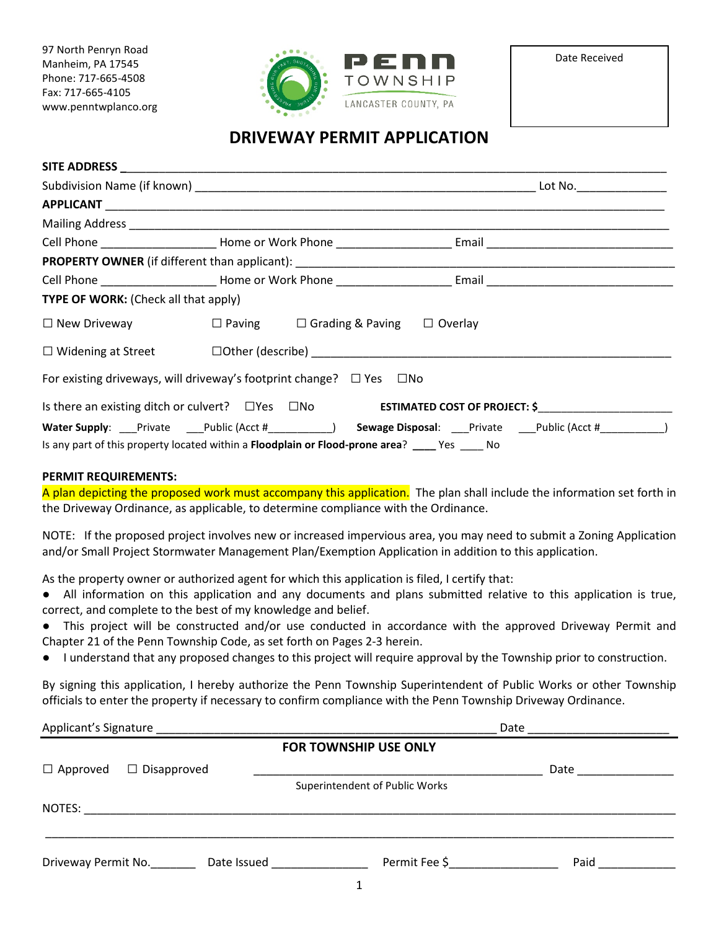97 North Penryn Road Manheim, PA 17545 Phone: 717-665-4508 Fax: 717-665-4105 www.penntwplanco.org



# **DRIVEWAY PERMIT APPLICATION**

| TYPE OF WORK: (Check all that apply)                                                           |  |  |                                                                                                                                                                                                                                |
|------------------------------------------------------------------------------------------------|--|--|--------------------------------------------------------------------------------------------------------------------------------------------------------------------------------------------------------------------------------|
| $\Box$ New Driveway $\Box$ Paving $\Box$ Grading & Paving $\Box$ Overlay                       |  |  |                                                                                                                                                                                                                                |
|                                                                                                |  |  |                                                                                                                                                                                                                                |
| For existing driveways, will driveway's footprint change? $\Box$ Yes $\Box$ No                 |  |  |                                                                                                                                                                                                                                |
|                                                                                                |  |  | Is there an existing ditch or culvert? □ Yes □ No ESTIMATED COST OF PROJECT: \$                                                                                                                                                |
|                                                                                                |  |  | Water Supply: Private Public (Acct # etal Acct # etal Acct # etal Acct # etal Public (Acct # etal Public (Acct # etal Public (Acct # etal Public (Acct # etal Public (Acct # etal Public (Acct # etal Public (Acct # etal Publ |
| Is any part of this property located within a Floodplain or Flood-prone area? ____ Yes ____ No |  |  |                                                                                                                                                                                                                                |

#### **PERMIT REQUIREMENTS:**

A plan depicting the proposed work must accompany this application. The plan shall include the information set forth in the Driveway Ordinance, as applicable, to determine compliance with the Ordinance.

NOTE: If the proposed project involves new or increased impervious area, you may need to submit a Zoning Application and/or Small Project Stormwater Management Plan/Exemption Application in addition to this application.

As the property owner or authorized agent for which this application is filed, I certify that:

- All information on this application and any documents and plans submitted relative to this application is true, correct, and complete to the best of my knowledge and belief.
- This project will be constructed and/or use conducted in accordance with the approved Driveway Permit and Chapter 21 of the Penn Township Code, as set forth on Pages 2-3 herein.
- I understand that any proposed changes to this project will require approval by the Township prior to construction.

By signing this application, I hereby authorize the Penn Township Superintendent of Public Works or other Township officials to enter the property if necessary to confirm compliance with the Penn Township Driveway Ordinance.

| Applicant's Signature |                    |                                 | Date                           |                  |  |  |
|-----------------------|--------------------|---------------------------------|--------------------------------|------------------|--|--|
|                       |                    |                                 | <b>FOR TOWNSHIP USE ONLY</b>   |                  |  |  |
| $\Box$ Approved       | $\Box$ Disapproved |                                 |                                | Date ___________ |  |  |
|                       |                    |                                 | Superintendent of Public Works |                  |  |  |
| NOTES:                |                    |                                 |                                |                  |  |  |
| Driveway Permit No.   |                    | Date Issued and the Date Issued | Permit Fee \$                  | Paid             |  |  |
|                       |                    |                                 |                                |                  |  |  |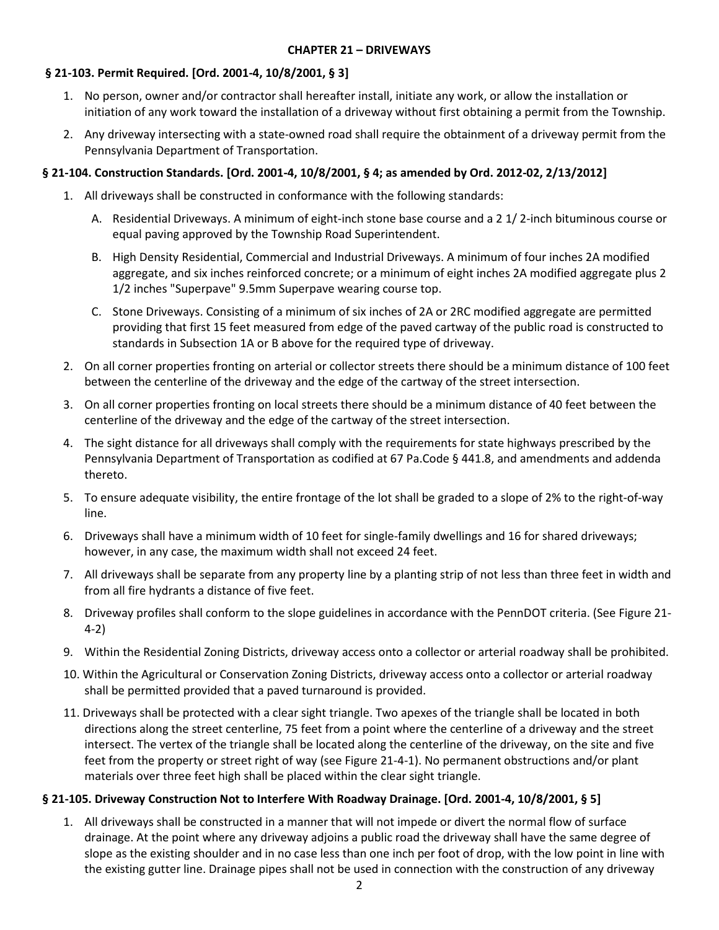## **§ 21-103. Permit Required. [Ord. 2001-4, 10/8/2001, § 3]**

- 1. No person, owner and/or contractor shall hereafter install, initiate any work, or allow the installation or initiation of any work toward the installation of a driveway without first obtaining a permit from the Township.
- 2. Any driveway intersecting with a state-owned road shall require the obtainment of a driveway permit from the Pennsylvania Department of Transportation.

## **§ 21-104. Construction Standards. [Ord. 2001-4, 10/8/2001, § 4; as amended by Ord. 2012-02, 2/13/2012]**

- 1. All driveways shall be constructed in conformance with the following standards:
	- A. Residential Driveways. A minimum of eight-inch stone base course and a 2 1/ 2-inch bituminous course or equal paving approved by the Township Road Superintendent.
	- B. High Density Residential, Commercial and Industrial Driveways. A minimum of four inches 2A modified aggregate, and six inches reinforced concrete; or a minimum of eight inches 2A modified aggregate plus 2 1/2 inches "Superpave" 9.5mm Superpave wearing course top.
	- C. Stone Driveways. Consisting of a minimum of six inches of 2A or 2RC modified aggregate are permitted providing that first 15 feet measured from edge of the paved cartway of the public road is constructed to standards in Subsection 1A or B above for the required type of driveway.
- 2. On all corner properties fronting on arterial or collector streets there should be a minimum distance of 100 feet between the centerline of the driveway and the edge of the cartway of the street intersection.
- 3. On all corner properties fronting on local streets there should be a minimum distance of 40 feet between the centerline of the driveway and the edge of the cartway of the street intersection.
- 4. The sight distance for all driveways shall comply with the requirements for state highways prescribed by the Pennsylvania Department of Transportation as codified at 67 Pa.Code § 441.8, and amendments and addenda thereto.
- 5. To ensure adequate visibility, the entire frontage of the lot shall be graded to a slope of 2% to the right-of-way line.
- 6. Driveways shall have a minimum width of 10 feet for single-family dwellings and 16 for shared driveways; however, in any case, the maximum width shall not exceed 24 feet.
- 7. All driveways shall be separate from any property line by a planting strip of not less than three feet in width and from all fire hydrants a distance of five feet.
- 8. Driveway profiles shall conform to the slope guidelines in accordance with the PennDOT criteria. (See Figure 21- 4-2)
- 9. Within the Residential Zoning Districts, driveway access onto a collector or arterial roadway shall be prohibited.
- 10. Within the Agricultural or Conservation Zoning Districts, driveway access onto a collector or arterial roadway shall be permitted provided that a paved turnaround is provided.
- 11. Driveways shall be protected with a clear sight triangle. Two apexes of the triangle shall be located in both directions along the street centerline, 75 feet from a point where the centerline of a driveway and the street intersect. The vertex of the triangle shall be located along the centerline of the driveway, on the site and five feet from the property or street right of way (see Figure 21-4-1). No permanent obstructions and/or plant materials over three feet high shall be placed within the clear sight triangle.

#### **§ 21-105. Driveway Construction Not to Interfere With Roadway Drainage. [Ord. 2001-4, 10/8/2001, § 5]**

1. All driveways shall be constructed in a manner that will not impede or divert the normal flow of surface drainage. At the point where any driveway adjoins a public road the driveway shall have the same degree of slope as the existing shoulder and in no case less than one inch per foot of drop, with the low point in line with the existing gutter line. Drainage pipes shall not be used in connection with the construction of any driveway